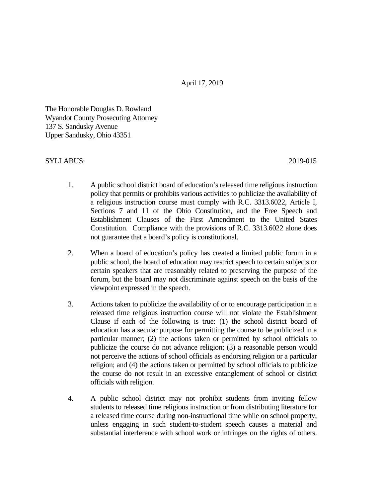April 17, 2019

The Honorable Douglas D. Rowland Wyandot County Prosecuting Attorney 137 S. Sandusky Avenue Upper Sandusky, Ohio 43351

## SYLLABUS: 2019-015

- 1. A public school district board of education's released time religious instruction policy that permits or prohibits various activities to publicize the availability of a religious instruction course must comply with R.C. 3313.6022, Article I, Sections 7 and 11 of the Ohio Constitution, and the Free Speech and Establishment Clauses of the First Amendment to the United States Constitution. Compliance with the provisions of R.C. 3313.6022 alone does not guarantee that a board's policy is constitutional.
- 2. When a board of education's policy has created a limited public forum in a public school, the board of education may restrict speech to certain subjects or certain speakers that are reasonably related to preserving the purpose of the forum, but the board may not discriminate against speech on the basis of the viewpoint expressed in the speech.
- 3. Actions taken to publicize the availability of or to encourage participation in a released time religious instruction course will not violate the Establishment Clause if each of the following is true: (1) the school district board of education has a secular purpose for permitting the course to be publicized in a particular manner; (2) the actions taken or permitted by school officials to publicize the course do not advance religion; (3) a reasonable person would not perceive the actions of school officials as endorsing religion or a particular religion; and (4) the actions taken or permitted by school officials to publicize the course do not result in an excessive entanglement of school or district officials with religion.
- 4. A public school district may not prohibit students from inviting fellow students to released time religious instruction or from distributing literature for a released time course during non-instructional time while on school property, unless engaging in such student-to-student speech causes a material and substantial interference with school work or infringes on the rights of others.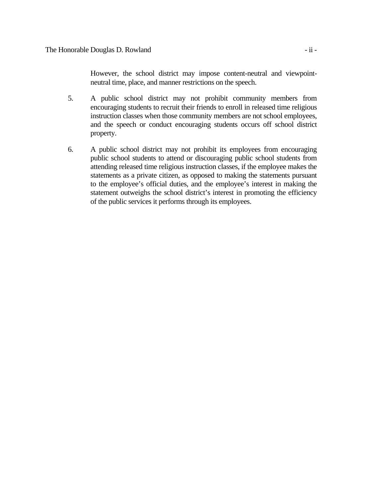However, the school district may impose content-neutral and viewpointneutral time, place, and manner restrictions on the speech.

- 5. A public school district may not prohibit community members from encouraging students to recruit their friends to enroll in released time religious instruction classes when those community members are not school employees, and the speech or conduct encouraging students occurs off school district property.
- 6. A public school district may not prohibit its employees from encouraging public school students to attend or discouraging public school students from attending released time religious instruction classes, if the employee makes the statements as a private citizen, as opposed to making the statements pursuant to the employee's official duties, and the employee's interest in making the statement outweighs the school district's interest in promoting the efficiency of the public services it performs through its employees.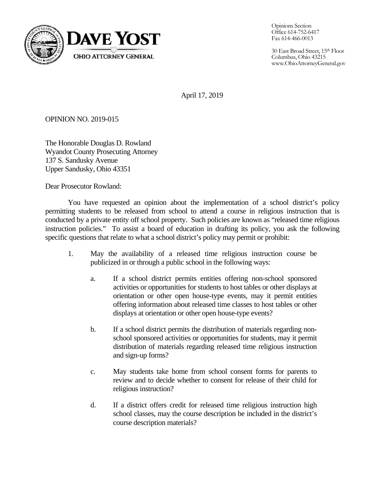

Opinions Section Office 614-752-6417 Fax 614-466-0013

30 East Broad Street, 15th Floor Columbus, Ohio 43215 www.OhioAttorneyGeneral.gov

April 17, 2019

OPINION NO. 2019-015

The Honorable Douglas D. Rowland Wyandot County Prosecuting Attorney 137 S. Sandusky Avenue Upper Sandusky, Ohio 43351

Dear Prosecutor Rowland:

You have requested an opinion about the implementation of a school district's policy permitting students to be released from school to attend a course in religious instruction that is conducted by a private entity off school property. Such policies are known as "released time religious instruction policies." To assist a board of education in drafting its policy, you ask the following specific questions that relate to what a school district's policy may permit or prohibit:

- 1. May the availability of a released time religious instruction course be publicized in or through a public school in the following ways:
	- a. If a school district permits entities offering non-school sponsored activities or opportunities for students to host tables or other displays at orientation or other open house-type events, may it permit entities offering information about released time classes to host tables or other displays at orientation or other open house-type events?
	- b. If a school district permits the distribution of materials regarding nonschool sponsored activities or opportunities for students, may it permit distribution of materials regarding released time religious instruction and sign-up forms?
	- c. May students take home from school consent forms for parents to review and to decide whether to consent for release of their child for religious instruction?
	- d. If a district offers credit for released time religious instruction high school classes, may the course description be included in the district's course description materials?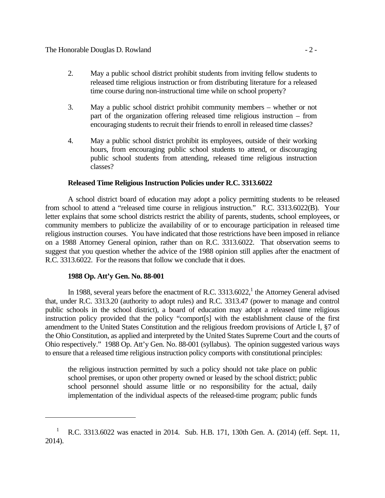- 2. May a public school district prohibit students from inviting fellow students to released time religious instruction or from distributing literature for a released time course during non-instructional time while on school property?
- 3. May a public school district prohibit community members whether or not part of the organization offering released time religious instruction – from encouraging students to recruit their friends to enroll in released time classes?
- 4. May a public school district prohibit its employees, outside of their working hours, from encouraging public school students to attend, or discouraging public school students from attending, released time religious instruction classes?

## **Released Time Religious Instruction Policies under R.C. 3313.6022**

A school district board of education may adopt a policy permitting students to be released from school to attend a "released time course in religious instruction." R.C. 3313.6022(B). Your letter explains that some school districts restrict the ability of parents, students, school employees, or community members to publicize the availability of or to encourage participation in released time religious instruction courses. You have indicated that those restrictions have been imposed in reliance on a 1988 Attorney General opinion, rather than on R.C. 3313.6022. That observation seems to suggest that you question whether the advice of the 1988 opinion still applies after the enactment of R.C. 3313.6022. For the reasons that follow we conclude that it does.

### **1988 Op. Att'y Gen. No. 88-001**

l

In 1988, several years before the enactment of R.C.  $3313.6022$ , the Attorney General advised that, under R.C. 3313.20 (authority to adopt rules) and R.C. 3313.47 (power to manage and control public schools in the school district), a board of education may adopt a released time religious instruction policy provided that the policy "comport[s] with the establishment clause of the first amendment to the United States Constitution and the religious freedom provisions of Article I, §7 of the Ohio Constitution, as applied and interpreted by the United States Supreme Court and the courts of Ohio respectively." 1988 Op. Att'y Gen. No. 88-001 (syllabus). The opinion suggested various ways to ensure that a released time religious instruction policy comports with constitutional principles:

the religious instruction permitted by such a policy should not take place on public school premises, or upon other property owned or leased by the school district; public school personnel should assume little or no responsibility for the actual, daily implementation of the individual aspects of the released-time program; public funds

<sup>&</sup>lt;sup>1</sup> R.C. 3313.6022 was enacted in 2014. Sub. H.B. 171, 130th Gen. A. (2014) (eff. Sept. 11, 2014).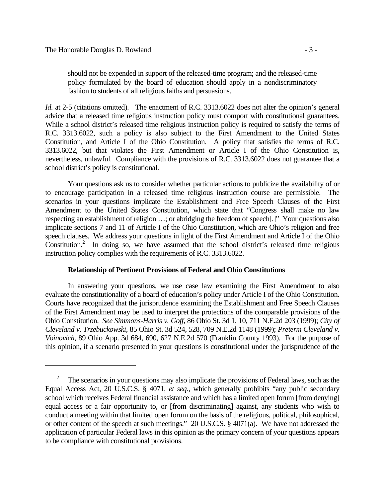should not be expended in support of the released-time program; and the released-time policy formulated by the board of education should apply in a nondiscriminatory fashion to students of all religious faiths and persuasions.

*Id.* at 2-5 (citations omitted). The enactment of R.C. 3313.6022 does not alter the opinion's general advice that a released time religious instruction policy must comport with constitutional guarantees. While a school district's released time religious instruction policy is required to satisfy the terms of R.C. 3313.6022, such a policy is also subject to the First Amendment to the United States Constitution, and Article I of the Ohio Constitution. A policy that satisfies the terms of R.C. 3313.6022, but that violates the First Amendment or Article I of the Ohio Constitution is, nevertheless, unlawful. Compliance with the provisions of R.C. 3313.6022 does not guarantee that a school district's policy is constitutional.

Your questions ask us to consider whether particular actions to publicize the availability of or to encourage participation in a released time religious instruction course are permissible. The scenarios in your questions implicate the Establishment and Free Speech Clauses of the First Amendment to the United States Constitution, which state that "Congress shall make no law respecting an establishment of religion …; or abridging the freedom of speech[.]" Your questions also implicate sections 7 and 11 of Article I of the Ohio Constitution, which are Ohio's religion and free speech clauses. We address your questions in light of the First Amendment and Article I of the Ohio Constitution.<sup>2</sup> In doing so, we have assumed that the school district's released time religious instruction policy complies with the requirements of R.C. 3313.6022.

# **Relationship of Pertinent Provisions of Federal and Ohio Constitutions**

In answering your questions, we use case law examining the First Amendment to also evaluate the constitutionality of a board of education's policy under Article I of the Ohio Constitution. Courts have recognized that the jurisprudence examining the Establishment and Free Speech Clauses of the First Amendment may be used to interpret the protections of the comparable provisions of the Ohio Constitution. *See Simmons-Harris v. Goff*, 86 Ohio St. 3d 1, 10, 711 N.E.2d 203 (1999); *City of Cleveland v. Trzebuckowski*, 85 Ohio St. 3d 524, 528, 709 N.E.2d 1148 (1999); *Preterm Cleveland v. Voinovich*, 89 Ohio App. 3d 684, 690, 627 N.E.2d 570 (Franklin County 1993). For the purpose of this opinion, if a scenario presented in your questions is constitutional under the jurisprudence of the

<sup>2</sup> The scenarios in your questions may also implicate the provisions of Federal laws, such as the Equal Access Act, 20 U.S.C.S. § 4071, *et seq*., which generally prohibits "any public secondary school which receives Federal financial assistance and which has a limited open forum [from denying] equal access or a fair opportunity to, or [from discriminating] against, any students who wish to conduct a meeting within that limited open forum on the basis of the religious, political, philosophical, or other content of the speech at such meetings." 20 U.S.C.S. § 4071(a). We have not addressed the application of particular Federal laws in this opinion as the primary concern of your questions appears to be compliance with constitutional provisions.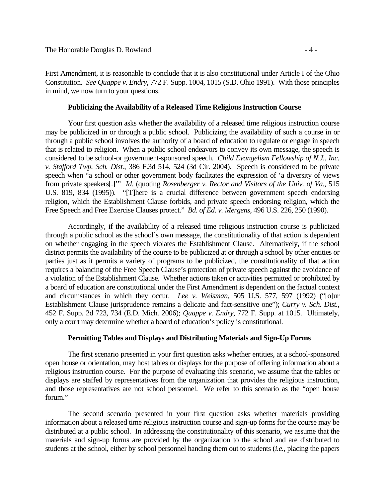First Amendment, it is reasonable to conclude that it is also constitutional under Article I of the Ohio Constitution. *See Quappe v. Endry*, 772 F. Supp. 1004, 1015 (S.D. Ohio 1991). With those principles in mind, we now turn to your questions.

### **Publicizing the Availability of a Released Time Religious Instruction Course**

Your first question asks whether the availability of a released time religious instruction course may be publicized in or through a public school. Publicizing the availability of such a course in or through a public school involves the authority of a board of education to regulate or engage in speech that is related to religion. When a public school endeavors to convey its own message, the speech is considered to be school-or government-sponsored speech. *Child Evangelism Fellowship of N.J., Inc. v. Stafford Twp. Sch. Dist.*, 386 F.3d 514, 524 (3d Cir. 2004). Speech is considered to be private speech when "a school or other government body facilitates the expression of 'a diversity of views from private speakers[.]'" *Id.* (quoting *Rosenberger v. Rector and Visitors of the Univ. of Va.*, 515 U.S. 819, 834 (1995)). "[T]here is a crucial difference between government speech endorsing religion, which the Establishment Clause forbids, and private speech endorsing religion, which the Free Speech and Free Exercise Clauses protect." *Bd. of Ed. v. Mergens*, 496 U.S. 226, 250 (1990).

Accordingly, if the availability of a released time religious instruction course is publicized through a public school as the school's own message, the constitutionality of that action is dependent on whether engaging in the speech violates the Establishment Clause. Alternatively, if the school district permits the availability of the course to be publicized at or through a school by other entities or parties just as it permits a variety of programs to be publicized, the constitutionality of that action requires a balancing of the Free Speech Clause's protection of private speech against the avoidance of a violation of the Establishment Clause. Whether actions taken or activities permitted or prohibited by a board of education are constitutional under the First Amendment is dependent on the factual context and circumstances in which they occur. *Lee v. Weisman*, 505 U.S. 577, 597 (1992) ("[o]ur Establishment Clause jurisprudence remains a delicate and fact-sensitive one"); *Curry v. Sch. Dist.*, 452 F. Supp. 2d 723, 734 (E.D. Mich. 2006); *Quappe v. Endry*, 772 F. Supp. at 1015. Ultimately, only a court may determine whether a board of education's policy is constitutional.

### **Permitting Tables and Displays and Distributing Materials and Sign-Up Forms**

The first scenario presented in your first question asks whether entities, at a school-sponsored open house or orientation, may host tables or displays for the purpose of offering information about a religious instruction course. For the purpose of evaluating this scenario, we assume that the tables or displays are staffed by representatives from the organization that provides the religious instruction, and those representatives are not school personnel. We refer to this scenario as the "open house forum."

The second scenario presented in your first question asks whether materials providing information about a released time religious instruction course and sign-up forms for the course may be distributed at a public school. In addressing the constitutionality of this scenario, we assume that the materials and sign-up forms are provided by the organization to the school and are distributed to students at the school, either by school personnel handing them out to students (*i.e.*, placing the papers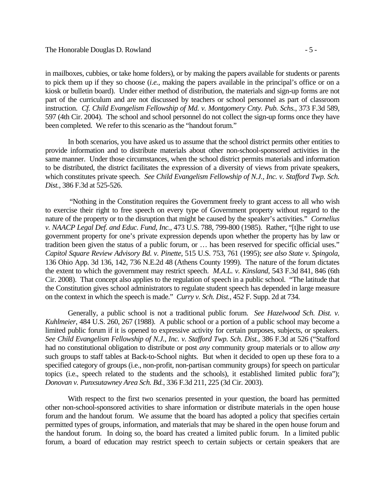in mailboxes, cubbies, or take home folders), or by making the papers available for students or parents to pick them up if they so choose (*i.e.*, making the papers available in the principal's office or on a kiosk or bulletin board). Under either method of distribution, the materials and sign-up forms are not part of the curriculum and are not discussed by teachers or school personnel as part of classroom instruction. *Cf. Child Evangelism Fellowship of Md. v. Montgomery Cnty. Pub. Schs.*, 373 F.3d 589, 597 (4th Cir. 2004). The school and school personnel do not collect the sign-up forms once they have been completed. We refer to this scenario as the "handout forum."

In both scenarios, you have asked us to assume that the school district permits other entities to provide information and to distribute materials about other non-school-sponsored activities in the same manner. Under those circumstances, when the school district permits materials and information to be distributed, the district facilitates the expression of a diversity of views from private speakers, which constitutes private speech. *See Child Evangelism Fellowship of N.J., Inc. v. Stafford Twp. Sch. Dist.*, 386 F.3d at 525-526.

 "Nothing in the Constitution requires the Government freely to grant access to all who wish to exercise their right to free speech on every type of Government property without regard to the nature of the property or to the disruption that might be caused by the speaker's activities." *Cornelius v. NAACP Legal Def. and Educ. Fund, Inc.*, 473 U.S. 788, 799-800 (1985). Rather, "[t]he right to use government property for one's private expression depends upon whether the property has by law or tradition been given the status of a public forum, or … has been reserved for specific official uses." *Capitol Square Review Advisory Bd. v. Pinette*, 515 U.S. 753, 761 (1995); *see also State v. Spingola*, 136 Ohio App. 3d 136, 142, 736 N.E.2d 48 (Athens County 1999). The nature of the forum dictates the extent to which the government may restrict speech. *M.A.L. v. Kinsland*, 543 F.3d 841, 846 (6th Cir. 2008). That concept also applies to the regulation of speech in a public school. "The latitude that the Constitution gives school administrators to regulate student speech has depended in large measure on the context in which the speech is made." *Curry v. Sch. Dist.*, 452 F. Supp. 2d at 734.

Generally, a public school is not a traditional public forum. *See Hazelwood Sch. Dist. v. Kuhlmeier*, 484 U.S. 260, 267 (1988). A public school or a portion of a public school may become a limited public forum if it is opened to expressive activity for certain purposes, subjects, or speakers. *See Child Evangelism Fellowship of N.J., Inc. v. Stafford Twp. Sch. Dist.*, 386 F.3d at 526 ("Stafford had no constitutional obligation to distribute or post *any* community group materials or to allow *any* such groups to staff tables at Back-to-School nights. But when it decided to open up these fora to a specified category of groups (i.e., non-profit, non-partisan community groups) for speech on particular topics (i.e., speech related to the students and the schools), it established limited public fora"); *Donovan v. Punxsutawney Area Sch. Bd.*, 336 F.3d 211, 225 (3d Cir. 2003).

With respect to the first two scenarios presented in your question, the board has permitted other non-school-sponsored activities to share information or distribute materials in the open house forum and the handout forum. We assume that the board has adopted a policy that specifies certain permitted types of groups, information, and materials that may be shared in the open house forum and the handout forum. In doing so, the board has created a limited public forum. In a limited public forum, a board of education may restrict speech to certain subjects or certain speakers that are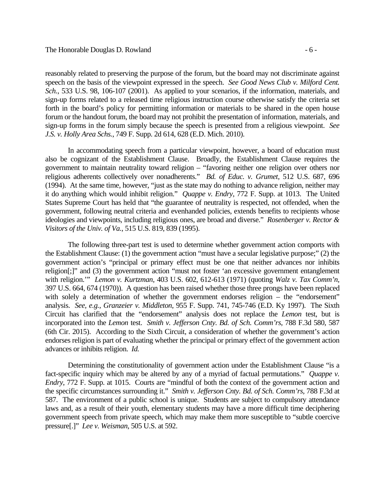reasonably related to preserving the purpose of the forum, but the board may not discriminate against speech on the basis of the viewpoint expressed in the speech. *See Good News Club v. Milford Cent. Sch.*, 533 U.S. 98, 106-107 (2001). As applied to your scenarios, if the information, materials, and sign-up forms related to a released time religious instruction course otherwise satisfy the criteria set forth in the board's policy for permitting information or materials to be shared in the open house forum or the handout forum, the board may not prohibit the presentation of information, materials, and sign-up forms in the forum simply because the speech is presented from a religious viewpoint. *See J.S. v. Holly Area Schs.*, 749 F. Supp. 2d 614, 628 (E.D. Mich. 2010).

In accommodating speech from a particular viewpoint, however, a board of education must also be cognizant of the Establishment Clause. Broadly, the Establishment Clause requires the government to maintain neutrality toward religion – "favoring neither one religion over others nor religious adherents collectively over nonadherents." *Bd. of Educ. v. Grumet*, 512 U.S. 687, 696 (1994). At the same time, however, "just as the state may do nothing to advance religion, neither may it do anything which would inhibit religion." *Quappe v. Endry*, 772 F. Supp. at 1013. The United States Supreme Court has held that "the guarantee of neutrality is respected, not offended, when the government, following neutral criteria and evenhanded policies, extends benefits to recipients whose ideologies and viewpoints, including religious ones, are broad and diverse." *Rosenberger v. Rector & Visitors of the Univ. of Va.*, 515 U.S. 819, 839 (1995).

The following three-part test is used to determine whether government action comports with the Establishment Clause: (1) the government action "must have a secular legislative purpose;" (2) the government action's "principal or primary effect must be one that neither advances nor inhibits religion[;]" and (3) the government action "must not foster 'an excessive government entanglement with religion.'" *Lemon v. Kurtzman*, 403 U.S. 602, 612-613 (1971) (quoting *Walz v. Tax Comm'n*, 397 U.S. 664, 674 (1970)). A question has been raised whether those three prongs have been replaced with solely a determination of whether the government endorses religion – the "endorsement" analysis. *See, e.g.*, *Granzeier v. Middleton*, 955 F. Supp. 741, 745-746 (E.D. Ky 1997). The Sixth Circuit has clarified that the "endorsement" analysis does not replace the *Lemon* test, but is incorporated into the *Lemon* test. *Smith v. Jefferson Cnty. Bd. of Sch. Comm'rs*, 788 F.3d 580, 587 (6th Cir. 2015). According to the Sixth Circuit, a consideration of whether the government's action endorses religion is part of evaluating whether the principal or primary effect of the government action advances or inhibits religion. *Id.*

Determining the constitutionality of government action under the Establishment Clause "is a fact-specific inquiry which may be altered by any of a myriad of factual permutations." *Quappe v. Endry*, 772 F. Supp. at 1015. Courts are "mindful of both the context of the government action and the specific circumstances surrounding it." *Smith v. Jefferson Cnty. Bd. of Sch. Comm'rs*, 788 F.3d at 587. The environment of a public school is unique. Students are subject to compulsory attendance laws and, as a result of their youth, elementary students may have a more difficult time deciphering government speech from private speech, which may make them more susceptible to "subtle coercive pressure[.]" *Lee v. Weisman*, 505 U.S. at 592.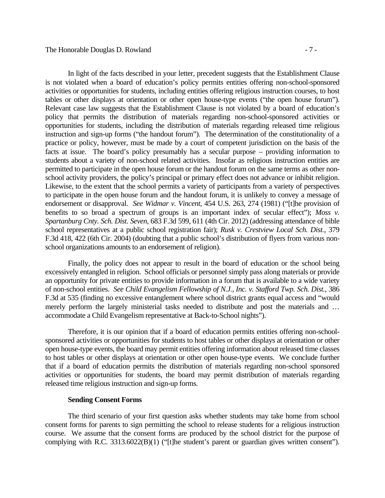In light of the facts described in your letter, precedent suggests that the Establishment Clause is not violated when a board of education's policy permits entities offering non-school-sponsored activities or opportunities for students, including entities offering religious instruction courses, to host tables or other displays at orientation or other open house-type events ("the open house forum"). Relevant case law suggests that the Establishment Clause is not violated by a board of education's policy that permits the distribution of materials regarding non-school-sponsored activities or opportunities for students, including the distribution of materials regarding released time religious instruction and sign-up forms ("the handout forum"). The determination of the constitutionality of a practice or policy, however, must be made by a court of competent jurisdiction on the basis of the facts at issue. The board's policy presumably has a secular purpose – providing information to students about a variety of non-school related activities. Insofar as religious instruction entities are permitted to participate in the open house forum or the handout forum on the same terms as other nonschool activity providers, the policy's principal or primary effect does not advance or inhibit religion. Likewise, to the extent that the school permits a variety of participants from a variety of perspectives to participate in the open house forum and the handout forum, it is unlikely to convey a message of endorsement or disapproval. *See Widmar v. Vincent*, 454 U.S. 263, 274 (1981) ("[t]he provision of benefits to so broad a spectrum of groups is an important index of secular effect"); *Moss v. Spartanburg Cnty. Sch. Dist. Seven*, 683 F.3d 599, 611 (4th Cir. 2012) (addressing attendance of bible school representatives at a public school registration fair); *Rusk v. Crestview Local Sch. Dist.*, 379 F.3d 418, 422 (6th Cir. 2004) (doubting that a public school's distribution of flyers from various nonschool organizations amounts to an endorsement of religion).

Finally, the policy does not appear to result in the board of education or the school being excessively entangled in religion. School officials or personnel simply pass along materials or provide an opportunity for private entities to provide information in a forum that is available to a wide variety of non-school entities. *See Child Evangelism Fellowship of N.J., Inc. v. Stafford Twp. Sch. Dist.*, 386 F.3d at 535 (finding no excessive entanglement where school district grants equal access and "would merely perform the largely ministerial tasks needed to distribute and post the materials and … accommodate a Child Evangelism representative at Back-to-School nights").

Therefore, it is our opinion that if a board of education permits entities offering non-schoolsponsored activities or opportunities for students to host tables or other displays at orientation or other open house-type events, the board may permit entities offering information about released time classes to host tables or other displays at orientation or other open house-type events. We conclude further that if a board of education permits the distribution of materials regarding non-school sponsored activities or opportunities for students, the board may permit distribution of materials regarding released time religious instruction and sign-up forms.

#### **Sending Consent Forms**

The third scenario of your first question asks whether students may take home from school consent forms for parents to sign permitting the school to release students for a religious instruction course. We assume that the consent forms are produced by the school district for the purpose of complying with R.C. 3313.6022(B)(1) ("[t]he student's parent or guardian gives written consent").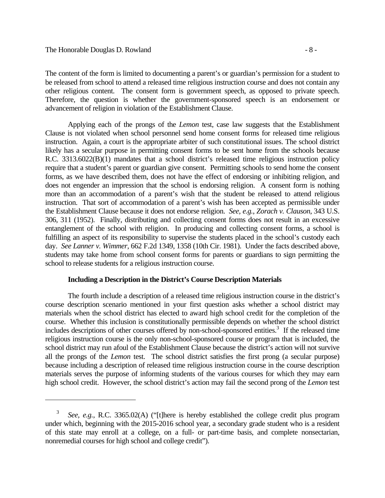The content of the form is limited to documenting a parent's or guardian's permission for a student to be released from school to attend a released time religious instruction course and does not contain any other religious content. The consent form is government speech, as opposed to private speech. Therefore, the question is whether the government-sponsored speech is an endorsement or advancement of religion in violation of the Establishment Clause.

Applying each of the prongs of the *Lemon* test, case law suggests that the Establishment Clause is not violated when school personnel send home consent forms for released time religious instruction. Again, a court is the appropriate arbiter of such constitutional issues. The school district likely has a secular purpose in permitting consent forms to be sent home from the schools because R.C. 3313.6022(B)(1) mandates that a school district's released time religious instruction policy require that a student's parent or guardian give consent. Permitting schools to send home the consent forms, as we have described them, does not have the effect of endorsing or inhibiting religion, and does not engender an impression that the school is endorsing religion. A consent form is nothing more than an accommodation of a parent's wish that the student be released to attend religious instruction. That sort of accommodation of a parent's wish has been accepted as permissible under the Establishment Clause because it does not endorse religion. *See, e.g.*, *Zorach v. Clauson*, 343 U.S. 306, 311 (1952). Finally, distributing and collecting consent forms does not result in an excessive entanglement of the school with religion. In producing and collecting consent forms, a school is fulfilling an aspect of its responsibility to supervise the students placed in the school's custody each day. *See Lanner v. Wimmer*, 662 F.2d 1349, 1358 (10th Cir. 1981). Under the facts described above, students may take home from school consent forms for parents or guardians to sign permitting the school to release students for a religious instruction course.

### **Including a Description in the District's Course Description Materials**

The fourth include a description of a released time religious instruction course in the district's course description scenario mentioned in your first question asks whether a school district may materials when the school district has elected to award high school credit for the completion of the course. Whether this inclusion is constitutionally permissible depends on whether the school district  $\frac{1}{2}$  includes descriptions of other courses offered by non-school-sponsored entities.<sup>3</sup> If the released time religious instruction course is the only non-school-sponsored course or program that is included, the school district may run afoul of the Establishment Clause because the district's action will not survive all the prongs of the *Lemon* test. The school district satisfies the first prong (a secular purpose) because including a description of released time religious instruction course in the course description materials serves the purpose of informing students of the various courses for which they may earn high school credit. However, the school district's action may fail the second prong of the *Lemon* test

<sup>3</sup> *See, e.g.*, R.C. 3365.02(A) ("[t]here is hereby established the college credit plus program under which, beginning with the 2015-2016 school year, a secondary grade student who is a resident of this state may enroll at a college, on a full- or part-time basis, and complete nonsectarian, nonremedial courses for high school and college credit").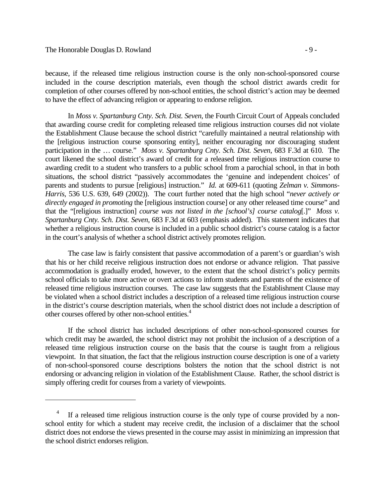because, if the released time religious instruction course is the only non-school-sponsored course included in the course description materials, even though the school district awards credit for completion of other courses offered by non-school entities, the school district's action may be deemed to have the effect of advancing religion or appearing to endorse religion.

In *Moss v. Spartanburg Cnty. Sch. Dist. Seven*, the Fourth Circuit Court of Appeals concluded that awarding course credit for completing released time religious instruction courses did not violate the Establishment Clause because the school district "carefully maintained a neutral relationship with the [religious instruction course sponsoring entity], neither encouraging nor discouraging student participation in the … course." *Moss v. Spartanburg Cnty. Sch. Dist. Seven*, 683 F.3d at 610*.* The court likened the school district's award of credit for a released time religious instruction course to awarding credit to a student who transfers to a public school from a parochial school, in that in both situations, the school district "passively accommodates the 'genuine and independent choices' of parents and students to pursue [religious] instruction." *Id.* at 609-611 (quoting *Zelman v. Simmons-Harris*, 536 U.S. 639, 649 (2002)). The court further noted that the high school "*never actively or directly engaged in promoting* the [religious instruction course] or any other released time course" and that the "[religious instruction] *course was not listed in the [school's] course catalog*[.]" *Moss v. Spartanburg Cnty. Sch. Dist. Seven*, 683 F.3d at 603 (emphasis added). This statement indicates that whether a religious instruction course is included in a public school district's course catalog is a factor in the court's analysis of whether a school district actively promotes religion.

The case law is fairly consistent that passive accommodation of a parent's or guardian's wish that his or her child receive religious instruction does not endorse or advance religion. That passive accommodation is gradually eroded, however, to the extent that the school district's policy permits school officials to take more active or overt actions to inform students and parents of the existence of released time religious instruction courses. The case law suggests that the Establishment Clause may be violated when a school district includes a description of a released time religious instruction course in the district's course description materials, when the school district does not include a description of other courses offered by other non-school entities.<sup>4</sup>

If the school district has included descriptions of other non-school-sponsored courses for which credit may be awarded, the school district may not prohibit the inclusion of a description of a released time religious instruction course on the basis that the course is taught from a religious viewpoint. In that situation, the fact that the religious instruction course description is one of a variety of non-school-sponsored course descriptions bolsters the notion that the school district is not endorsing or advancing religion in violation of the Establishment Clause. Rather, the school district is simply offering credit for courses from a variety of viewpoints.

<sup>4</sup> If a released time religious instruction course is the only type of course provided by a nonschool entity for which a student may receive credit, the inclusion of a disclaimer that the school district does not endorse the views presented in the course may assist in minimizing an impression that the school district endorses religion.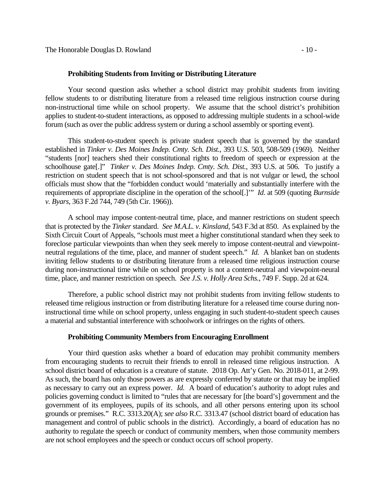#### **Prohibiting Students from Inviting or Distributing Literature**

Your second question asks whether a school district may prohibit students from inviting fellow students to or distributing literature from a released time religious instruction course during non-instructional time while on school property. We assume that the school district's prohibition applies to student-to-student interactions, as opposed to addressing multiple students in a school-wide forum (such as over the public address system or during a school assembly or sporting event).

This student-to-student speech is private student speech that is governed by the standard established in *Tinker v. Des Moines Indep. Cmty. Sch. Dist.*, 393 U.S. 503, 508-509 (1969). Neither "students [nor] teachers shed their constitutional rights to freedom of speech or expression at the schoolhouse gate[.]" *Tinker v. Des Moines Indep. Cmty. Sch. Dist.*, 393 U.S. at 506. To justify a restriction on student speech that is not school-sponsored and that is not vulgar or lewd, the school officials must show that the "forbidden conduct would 'materially and substantially interfere with the requirements of appropriate discipline in the operation of the school[.]'" *Id*. at 509 (quoting *Burnside v. Byars*, 363 F.2d 744, 749 (5th Cir. 1966)).

A school may impose content-neutral time, place, and manner restrictions on student speech that is protected by the *Tinker* standard. *See M.A.L. v. Kinsland*, 543 F.3d at 850. As explained by the Sixth Circuit Court of Appeals, "schools must meet a higher constitutional standard when they seek to foreclose particular viewpoints than when they seek merely to impose content-neutral and viewpointneutral regulations of the time, place, and manner of student speech." *Id.* A blanket ban on students inviting fellow students to or distributing literature from a released time religious instruction course during non-instructional time while on school property is not a content-neutral and viewpoint-neural time, place, and manner restriction on speech. *See J.S. v. Holly Area Schs.*, 749 F. Supp. 2d at 624.

Therefore, a public school district may not prohibit students from inviting fellow students to released time religious instruction or from distributing literature for a released time course during noninstructional time while on school property, unless engaging in such student-to-student speech causes a material and substantial interference with schoolwork or infringes on the rights of others.

#### **Prohibiting Community Members from Encouraging Enrollment**

Your third question asks whether a board of education may prohibit community members from encouraging students to recruit their friends to enroll in released time religious instruction. A school district board of education is a creature of statute. 2018 Op. Att'y Gen. No. 2018-011, at 2-99. As such, the board has only those powers as are expressly conferred by statute or that may be implied as necessary to carry out an express power. *Id.* A board of education's authority to adopt rules and policies governing conduct is limited to "rules that are necessary for [the board's] government and the government of its employees, pupils of its schools, and all other persons entering upon its school grounds or premises." R.C. 3313.20(A); *see also* R.C. 3313.47 (school district board of education has management and control of public schools in the district). Accordingly, a board of education has no authority to regulate the speech or conduct of community members, when those community members are not school employees and the speech or conduct occurs off school property.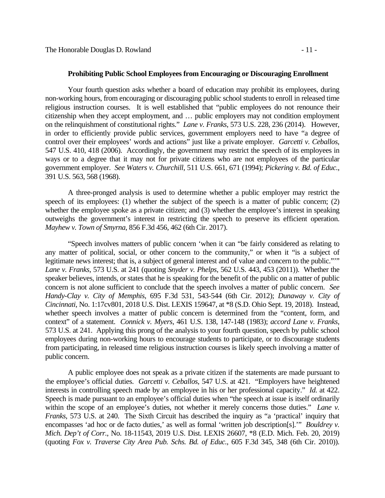#### **Prohibiting Public School Employees from Encouraging or Discouraging Enrollment**

Your fourth question asks whether a board of education may prohibit its employees, during non-working hours, from encouraging or discouraging public school students to enroll in released time religious instruction courses. It is well established that "public employees do not renounce their citizenship when they accept employment, and … public employers may not condition employment on the relinquishment of constitutional rights." *Lane v. Franks*, 573 U.S. 228, 236 (2014). However, in order to efficiently provide public services, government employers need to have "a degree of control over their employees' words and actions" just like a private employer. *Garcetti v. Ceballos*, 547 U.S. 410, 418 (2006). Accordingly, the government may restrict the speech of its employees in ways or to a degree that it may not for private citizens who are not employees of the particular government employer. *See Waters v. Churchill*, 511 U.S. 661, 671 (1994); *Pickering v. Bd. of Educ.*, 391 U.S. 563, 568 (1968).

A three-pronged analysis is used to determine whether a public employer may restrict the speech of its employees: (1) whether the subject of the speech is a matter of public concern; (2) whether the employee spoke as a private citizen; and (3) whether the employee's interest in speaking outweighs the government's interest in restricting the speech to preserve its efficient operation. *Mayhew v. Town of Smyrna*, 856 F.3d 456, 462 (6th Cir. 2017).

"Speech involves matters of public concern 'when it can "be fairly considered as relating to any matter of political, social, or other concern to the community," or when it "is a subject of legitimate news interest; that is, a subject of general interest and of value and concern to the public.""" *Lane v. Franks*, 573 U.S. at 241 (quoting *Snyder v. Phelps*, 562 U.S. 443, 453 (2011)). Whether the speaker believes, intends, or states that he is speaking for the benefit of the public on a matter of public concern is not alone sufficient to conclude that the speech involves a matter of public concern. *See Handy-Clay v. City of Memphis*, 695 F.3d 531, 543-544 (6th Cir. 2012); *Dunaway v. City of Cincinnati*, No. 1:17cv801, 2018 U.S. Dist. LEXIS 159647, at \*8 (S.D. Ohio Sept. 19, 2018). Instead, whether speech involves a matter of public concern is determined from the "content, form, and context" of a statement. *Connick v. Myers*, 461 U.S. 138, 147-148 (1983); *accord Lane v. Franks*, 573 U.S. at 241. Applying this prong of the analysis to your fourth question, speech by public school employees during non-working hours to encourage students to participate, or to discourage students from participating, in released time religious instruction courses is likely speech involving a matter of public concern.

A public employee does not speak as a private citizen if the statements are made pursuant to the employee's official duties. *Garcetti v. Ceballos*, 547 U.S. at 421. "Employers have heightened interests in controlling speech made by an employee in his or her professional capacity." *Id.* at 422. Speech is made pursuant to an employee's official duties when "the speech at issue is itself ordinarily within the scope of an employee's duties, not whether it merely concerns those duties." *Lane v. Franks*, 573 U.S. at 240. The Sixth Circuit has described the inquiry as "a 'practical' inquiry that encompasses 'ad hoc or de facto duties,' as well as formal 'written job description[s].'" *Bouldrey v. Mich. Dep't of Corr.*, No. 18-11543, 2019 U.S. Dist. LEXIS 26607, \*8 (E.D. Mich. Feb. 20, 2019) (quoting *Fox v. Traverse City Area Pub. Schs. Bd. of Educ.*, 605 F.3d 345, 348 (6th Cir. 2010)).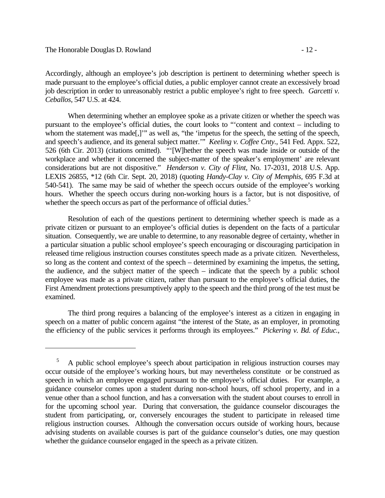Accordingly, although an employee's job description is pertinent to determining whether speech is made pursuant to the employee's official duties, a public employer cannot create an excessively broad job description in order to unreasonably restrict a public employee's right to free speech. *Garcetti v. Ceballos*, 547 U.S. at 424.

When determining whether an employee spoke as a private citizen or whether the speech was pursuant to the employee's official duties, the court looks to "'content and context – including to whom the statement was made[,]" as well as, "the 'impetus for the speech, the setting of the speech, and speech's audience, and its general subject matter.'" *Keeling v. Coffee Cnty.*, 541 Fed. Appx. 522, 526 (6th Cir. 2013) (citations omitted). "'[W]hether the speech was made inside or outside of the workplace and whether it concerned the subject-matter of the speaker's employment' are relevant considerations but are not dispositive." *Henderson v. City of Flint*, No. 17-2031, 2018 U.S. App. LEXIS 26855, \*12 (6th Cir. Sept. 20, 2018) (quoting *Handy-Clay v. City of Memphis*, 695 F.3d at 540-541). The same may be said of whether the speech occurs outside of the employee's working hours. Whether the speech occurs during non-working hours is a factor, but is not dispositive, of whether the speech occurs as part of the performance of official duties.<sup>5</sup>

Resolution of each of the questions pertinent to determining whether speech is made as a private citizen or pursuant to an employee's official duties is dependent on the facts of a particular situation. Consequently, we are unable to determine, to any reasonable degree of certainty, whether in a particular situation a public school employee's speech encouraging or discouraging participation in released time religious instruction courses constitutes speech made as a private citizen. Nevertheless, so long as the content and context of the speech – determined by examining the impetus, the setting, the audience, and the subject matter of the speech – indicate that the speech by a public school employee was made as a private citizen, rather than pursuant to the employee's official duties, the First Amendment protections presumptively apply to the speech and the third prong of the test must be examined.

The third prong requires a balancing of the employee's interest as a citizen in engaging in speech on a matter of public concern against "the interest of the State, as an employer, in promoting the efficiency of the public services it performs through its employees." *Pickering v. Bd. of Educ.*,

<sup>5</sup> A public school employee's speech about participation in religious instruction courses may occur outside of the employee's working hours, but may nevertheless constitute or be construed as speech in which an employee engaged pursuant to the employee's official duties. For example, a guidance counselor comes upon a student during non-school hours, off school property, and in a venue other than a school function, and has a conversation with the student about courses to enroll in for the upcoming school year. During that conversation, the guidance counselor discourages the student from participating, or, conversely encourages the student to participate in released time religious instruction courses. Although the conversation occurs outside of working hours, because advising students on available courses is part of the guidance counselor's duties, one may question whether the guidance counselor engaged in the speech as a private citizen.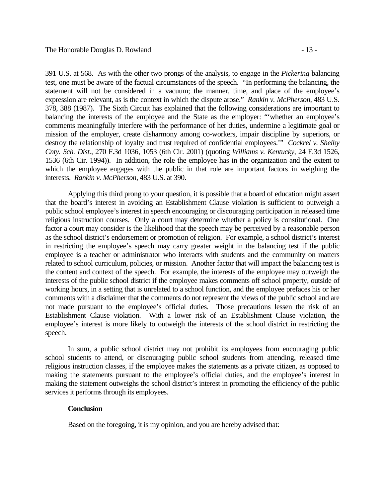interests. *Rankin v. McPherson*, 483 U.S. at 390.

391 U.S. at 568. As with the other two prongs of the analysis, to engage in the *Pickering* balancing test, one must be aware of the factual circumstances of the speech. "In performing the balancing, the statement will not be considered in a vacuum; the manner, time, and place of the employee's expression are relevant, as is the context in which the dispute arose." *Rankin v. McPherson*, 483 U.S. 378, 388 (1987). The Sixth Circuit has explained that the following considerations are important to balancing the interests of the employee and the State as the employer: "whether an employee's comments meaningfully interfere with the performance of her duties, undermine a legitimate goal or mission of the employer, create disharmony among co-workers, impair discipline by superiors, or destroy the relationship of loyalty and trust required of confidential employees.'" *Cockrel v. Shelby Cnty. Sch. Dist.*, 270 F.3d 1036, 1053 (6th Cir. 2001) (quoting *Williams v. Kentucky*, 24 F.3d 1526, 1536 (6th Cir. 1994)). In addition, the role the employee has in the organization and the extent to which the employee engages with the public in that role are important factors in weighing the

 Applying this third prong to your question, it is possible that a board of education might assert that the board's interest in avoiding an Establishment Clause violation is sufficient to outweigh a public school employee's interest in speech encouraging or discouraging participation in released time religious instruction courses. Only a court may determine whether a policy is constitutional. One factor a court may consider is the likelihood that the speech may be perceived by a reasonable person as the school district's endorsement or promotion of religion. For example, a school district's interest in restricting the employee's speech may carry greater weight in the balancing test if the public employee is a teacher or administrator who interacts with students and the community on matters related to school curriculum, policies, or mission. Another factor that will impact the balancing test is the content and context of the speech. For example, the interests of the employee may outweigh the interests of the public school district if the employee makes comments off school property, outside of working hours, in a setting that is unrelated to a school function, and the employee prefaces his or her comments with a disclaimer that the comments do not represent the views of the public school and are not made pursuant to the employee's official duties. Those precautions lessen the risk of an Establishment Clause violation. With a lower risk of an Establishment Clause violation, the employee's interest is more likely to outweigh the interests of the school district in restricting the speech.

 In sum, a public school district may not prohibit its employees from encouraging public school students to attend, or discouraging public school students from attending, released time religious instruction classes, if the employee makes the statements as a private citizen, as opposed to making the statements pursuant to the employee's official duties, and the employee's interest in making the statement outweighs the school district's interest in promoting the efficiency of the public services it performs through its employees.

### **Conclusion**

Based on the foregoing, it is my opinion, and you are hereby advised that: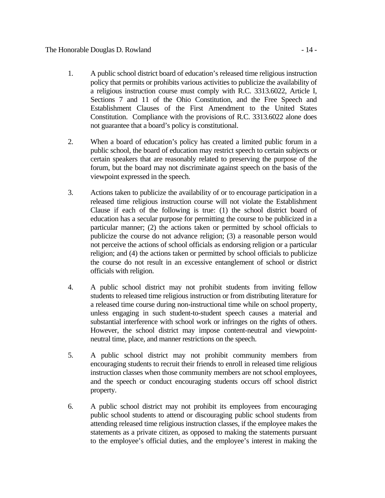# The Honorable Douglas D. Rowland - 14 -

- 1. A public school district board of education's released time religious instruction policy that permits or prohibits various activities to publicize the availability of a religious instruction course must comply with R.C. 3313.6022, Article I, Sections 7 and 11 of the Ohio Constitution, and the Free Speech and Establishment Clauses of the First Amendment to the United States Constitution. Compliance with the provisions of R.C. 3313.6022 alone does not guarantee that a board's policy is constitutional.
- 2. When a board of education's policy has created a limited public forum in a public school, the board of education may restrict speech to certain subjects or certain speakers that are reasonably related to preserving the purpose of the forum, but the board may not discriminate against speech on the basis of the viewpoint expressed in the speech.
- 3. Actions taken to publicize the availability of or to encourage participation in a released time religious instruction course will not violate the Establishment Clause if each of the following is true: (1) the school district board of education has a secular purpose for permitting the course to be publicized in a particular manner; (2) the actions taken or permitted by school officials to publicize the course do not advance religion; (3) a reasonable person would not perceive the actions of school officials as endorsing religion or a particular religion; and (4) the actions taken or permitted by school officials to publicize the course do not result in an excessive entanglement of school or district officials with religion.
- 4. A public school district may not prohibit students from inviting fellow students to released time religious instruction or from distributing literature for a released time course during non-instructional time while on school property, unless engaging in such student-to-student speech causes a material and substantial interference with school work or infringes on the rights of others. However, the school district may impose content-neutral and viewpointneutral time, place, and manner restrictions on the speech.
- 5. A public school district may not prohibit community members from encouraging students to recruit their friends to enroll in released time religious instruction classes when those community members are not school employees, and the speech or conduct encouraging students occurs off school district property.
- 6. A public school district may not prohibit its employees from encouraging public school students to attend or discouraging public school students from attending released time religious instruction classes, if the employee makes the statements as a private citizen, as opposed to making the statements pursuant to the employee's official duties, and the employee's interest in making the